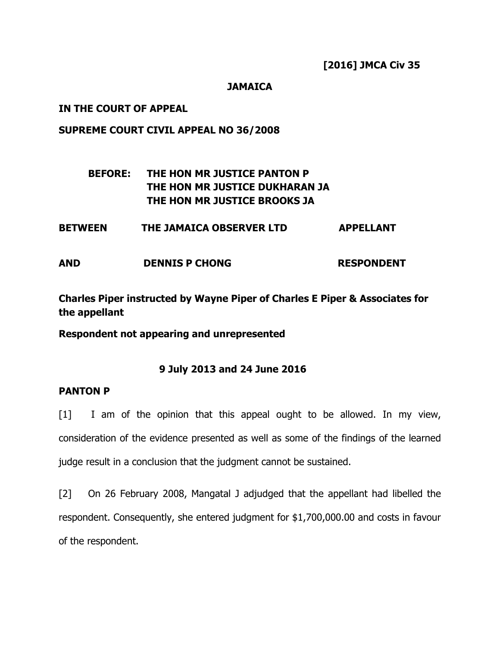# JAMAICA

### IN THE COURT OF APPEAL

### SUPREME COURT CIVIL APPEAL NO 36/2008

# BEFORE: THE HON MR JUSTICE PANTON P THE HON MR JUSTICE DUKHARAN JA THE HON MR JUSTICE BROOKS JA

# BETWEEN THE JAMAICA OBSERVER LTD APPELLANT

AND DENNIS P CHONG RESPONDENT

Charles Piper instructed by Wayne Piper of Charles E Piper & Associates for the appellant

Respondent not appearing and unrepresented

# 9 July 2013 and 24 June 2016

# PANTON P

[1] I am of the opinion that this appeal ought to be allowed. In my view, consideration of the evidence presented as well as some of the findings of the learned judge result in a conclusion that the judgment cannot be sustained.

[2] On 26 February 2008, Mangatal J adjudged that the appellant had libelled the respondent. Consequently, she entered judgment for \$1,700,000.00 and costs in favour of the respondent.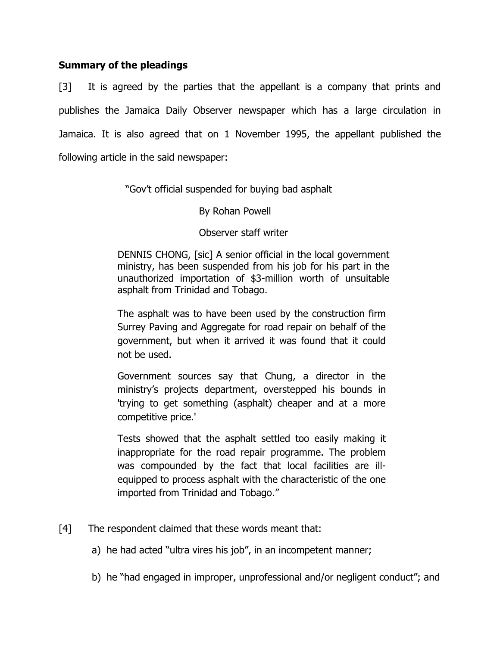# Summary of the pleadings

[3] It is agreed by the parties that the appellant is a company that prints and publishes the Jamaica Daily Observer newspaper which has a large circulation in Jamaica. It is also agreed that on 1 November 1995, the appellant published the following article in the said newspaper:

"Gov't official suspended for buying bad asphalt

# By Rohan Powell

# Observer staff writer

 DENNIS CHONG, [sic] A senior official in the local government ministry, has been suspended from his job for his part in the unauthorized importation of \$3-million worth of unsuitable asphalt from Trinidad and Tobago.

The asphalt was to have been used by the construction firm Surrey Paving and Aggregate for road repair on behalf of the government, but when it arrived it was found that it could not be used.

Government sources say that Chung, a director in the ministry's projects department, overstepped his bounds in 'trying to get something (asphalt) cheaper and at a more competitive price.'

Tests showed that the asphalt settled too easily making it inappropriate for the road repair programme. The problem was compounded by the fact that local facilities are illequipped to process asphalt with the characteristic of the one imported from Trinidad and Tobago."

- [4] The respondent claimed that these words meant that:
	- a) he had acted "ultra vires his job", in an incompetent manner;
	- b) he "had engaged in improper, unprofessional and/or negligent conduct"; and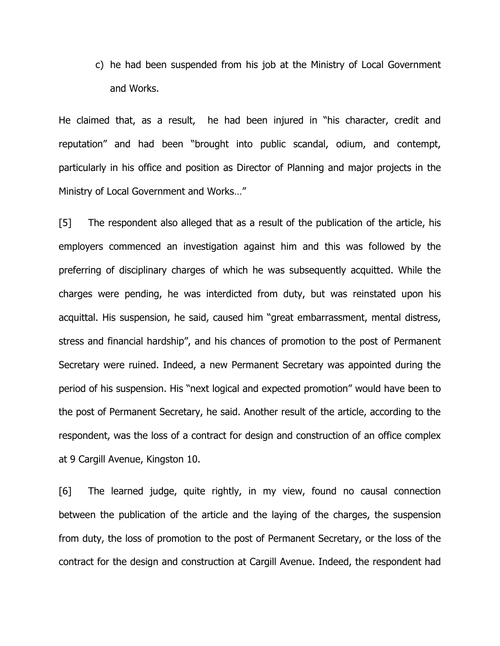c) he had been suspended from his job at the Ministry of Local Government and Works.

He claimed that, as a result, he had been injured in "his character, credit and reputation" and had been "brought into public scandal, odium, and contempt, particularly in his office and position as Director of Planning and major projects in the Ministry of Local Government and Works…"

[5] The respondent also alleged that as a result of the publication of the article, his employers commenced an investigation against him and this was followed by the preferring of disciplinary charges of which he was subsequently acquitted. While the charges were pending, he was interdicted from duty, but was reinstated upon his acquittal. His suspension, he said, caused him "great embarrassment, mental distress, stress and financial hardship", and his chances of promotion to the post of Permanent Secretary were ruined. Indeed, a new Permanent Secretary was appointed during the period of his suspension. His "next logical and expected promotion" would have been to the post of Permanent Secretary, he said. Another result of the article, according to the respondent, was the loss of a contract for design and construction of an office complex at 9 Cargill Avenue, Kingston 10.

[6] The learned judge, quite rightly, in my view, found no causal connection between the publication of the article and the laying of the charges, the suspension from duty, the loss of promotion to the post of Permanent Secretary, or the loss of the contract for the design and construction at Cargill Avenue. Indeed, the respondent had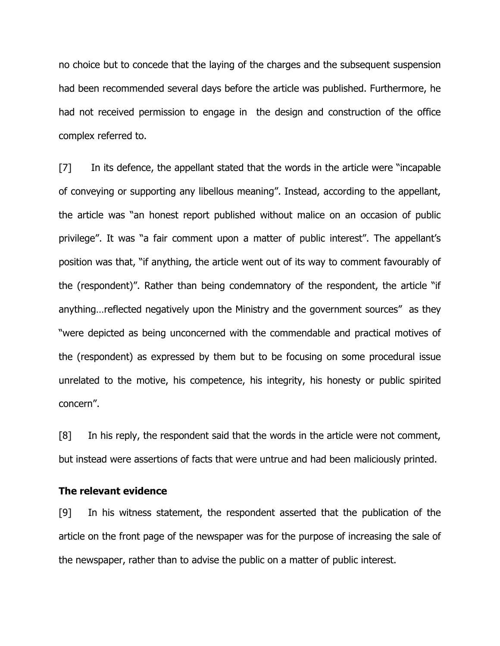no choice but to concede that the laying of the charges and the subsequent suspension had been recommended several days before the article was published. Furthermore, he had not received permission to engage in the design and construction of the office complex referred to.

[7] In its defence, the appellant stated that the words in the article were "incapable of conveying or supporting any libellous meaning". Instead, according to the appellant, the article was "an honest report published without malice on an occasion of public privilege". It was "a fair comment upon a matter of public interest". The appellant's position was that, "if anything, the article went out of its way to comment favourably of the (respondent)". Rather than being condemnatory of the respondent, the article "if anything…reflected negatively upon the Ministry and the government sources" as they "were depicted as being unconcerned with the commendable and practical motives of the (respondent) as expressed by them but to be focusing on some procedural issue unrelated to the motive, his competence, his integrity, his honesty or public spirited concern".

[8] In his reply, the respondent said that the words in the article were not comment, but instead were assertions of facts that were untrue and had been maliciously printed.

#### The relevant evidence

[9] In his witness statement, the respondent asserted that the publication of the article on the front page of the newspaper was for the purpose of increasing the sale of the newspaper, rather than to advise the public on a matter of public interest.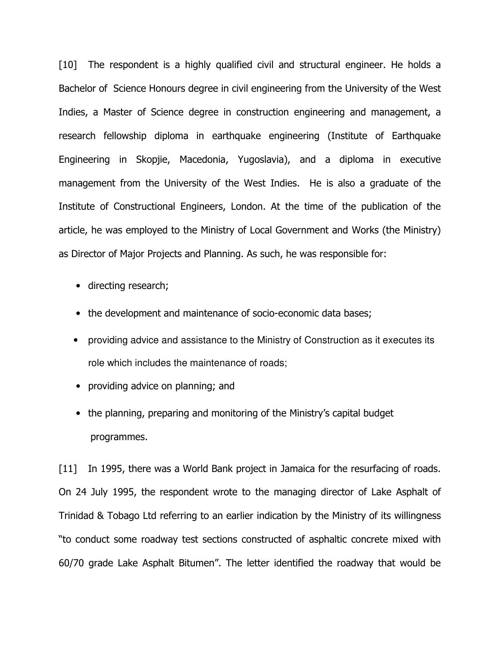[10] The respondent is a highly qualified civil and structural engineer. He holds a Bachelor of Science Honours degree in civil engineering from the University of the West Indies, a Master of Science degree in construction engineering and management, a research fellowship diploma in earthquake engineering (Institute of Earthquake Engineering in Skopjie, Macedonia, Yugoslavia), and a diploma in executive management from the University of the West Indies. He is also a graduate of the Institute of Constructional Engineers, London. At the time of the publication of the article, he was employed to the Ministry of Local Government and Works (the Ministry) as Director of Major Projects and Planning. As such, he was responsible for:

- directing research;
- the development and maintenance of socio-economic data bases;
- providing advice and assistance to the Ministry of Construction as it executes its role which includes the maintenance of roads;
- providing advice on planning; and
- the planning, preparing and monitoring of the Ministry's capital budget programmes.

[11] In 1995, there was a World Bank project in Jamaica for the resurfacing of roads. On 24 July 1995, the respondent wrote to the managing director of Lake Asphalt of Trinidad & Tobago Ltd referring to an earlier indication by the Ministry of its willingness "to conduct some roadway test sections constructed of asphaltic concrete mixed with 60/70 grade Lake Asphalt Bitumen". The letter identified the roadway that would be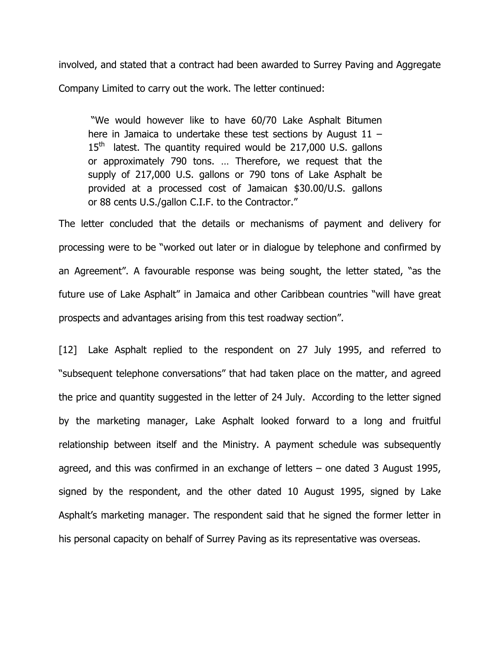involved, and stated that a contract had been awarded to Surrey Paving and Aggregate Company Limited to carry out the work. The letter continued:

 "We would however like to have 60/70 Lake Asphalt Bitumen here in Jamaica to undertake these test sections by August 11 –  $15<sup>th</sup>$  latest. The quantity required would be 217,000 U.S. gallons or approximately 790 tons. … Therefore, we request that the supply of 217,000 U.S. gallons or 790 tons of Lake Asphalt be provided at a processed cost of Jamaican \$30.00/U.S. gallons or 88 cents U.S./gallon C.I.F. to the Contractor."

The letter concluded that the details or mechanisms of payment and delivery for processing were to be "worked out later or in dialogue by telephone and confirmed by an Agreement". A favourable response was being sought, the letter stated, "as the future use of Lake Asphalt" in Jamaica and other Caribbean countries "will have great prospects and advantages arising from this test roadway section".

[12] Lake Asphalt replied to the respondent on 27 July 1995, and referred to "subsequent telephone conversations" that had taken place on the matter, and agreed the price and quantity suggested in the letter of 24 July. According to the letter signed by the marketing manager, Lake Asphalt looked forward to a long and fruitful relationship between itself and the Ministry. A payment schedule was subsequently agreed, and this was confirmed in an exchange of letters – one dated 3 August 1995, signed by the respondent, and the other dated 10 August 1995, signed by Lake Asphalt's marketing manager. The respondent said that he signed the former letter in his personal capacity on behalf of Surrey Paving as its representative was overseas.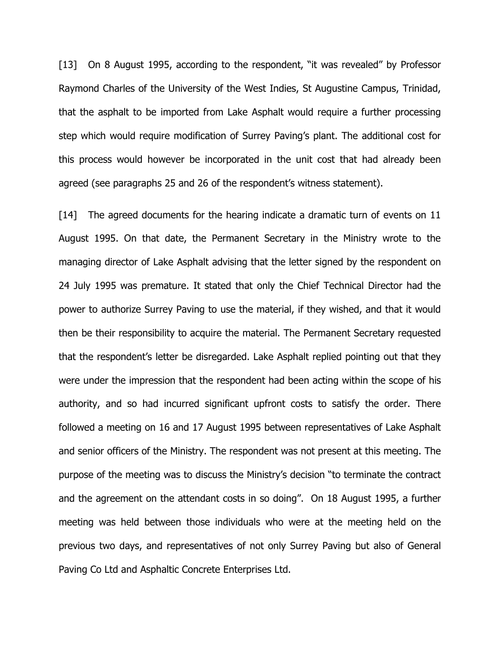[13] On 8 August 1995, according to the respondent, "it was revealed" by Professor Raymond Charles of the University of the West Indies, St Augustine Campus, Trinidad, that the asphalt to be imported from Lake Asphalt would require a further processing step which would require modification of Surrey Paving's plant. The additional cost for this process would however be incorporated in the unit cost that had already been agreed (see paragraphs 25 and 26 of the respondent's witness statement).

[14] The agreed documents for the hearing indicate a dramatic turn of events on 11 August 1995. On that date, the Permanent Secretary in the Ministry wrote to the managing director of Lake Asphalt advising that the letter signed by the respondent on 24 July 1995 was premature. It stated that only the Chief Technical Director had the power to authorize Surrey Paving to use the material, if they wished, and that it would then be their responsibility to acquire the material. The Permanent Secretary requested that the respondent's letter be disregarded. Lake Asphalt replied pointing out that they were under the impression that the respondent had been acting within the scope of his authority, and so had incurred significant upfront costs to satisfy the order. There followed a meeting on 16 and 17 August 1995 between representatives of Lake Asphalt and senior officers of the Ministry. The respondent was not present at this meeting. The purpose of the meeting was to discuss the Ministry's decision "to terminate the contract and the agreement on the attendant costs in so doing". On 18 August 1995, a further meeting was held between those individuals who were at the meeting held on the previous two days, and representatives of not only Surrey Paving but also of General Paving Co Ltd and Asphaltic Concrete Enterprises Ltd.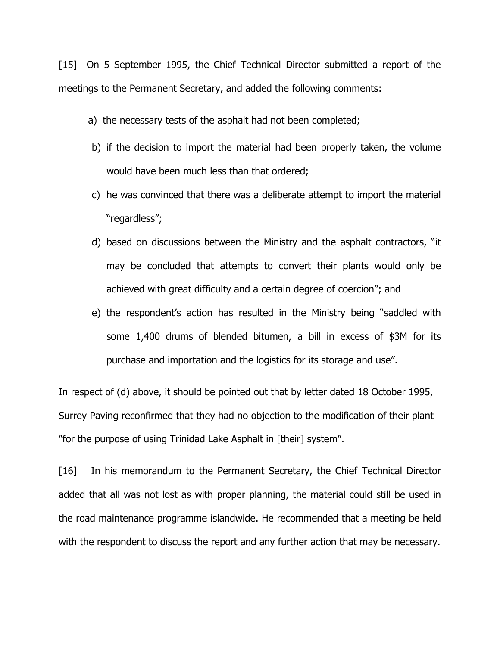[15] On 5 September 1995, the Chief Technical Director submitted a report of the meetings to the Permanent Secretary, and added the following comments:

- a) the necessary tests of the asphalt had not been completed;
- b) if the decision to import the material had been properly taken, the volume would have been much less than that ordered;
- c) he was convinced that there was a deliberate attempt to import the material "regardless";
- d) based on discussions between the Ministry and the asphalt contractors, "it may be concluded that attempts to convert their plants would only be achieved with great difficulty and a certain degree of coercion"; and
- e) the respondent's action has resulted in the Ministry being "saddled with some 1,400 drums of blended bitumen, a bill in excess of \$3M for its purchase and importation and the logistics for its storage and use".

In respect of (d) above, it should be pointed out that by letter dated 18 October 1995, Surrey Paving reconfirmed that they had no objection to the modification of their plant "for the purpose of using Trinidad Lake Asphalt in [their] system".

[16] In his memorandum to the Permanent Secretary, the Chief Technical Director added that all was not lost as with proper planning, the material could still be used in the road maintenance programme islandwide. He recommended that a meeting be held with the respondent to discuss the report and any further action that may be necessary.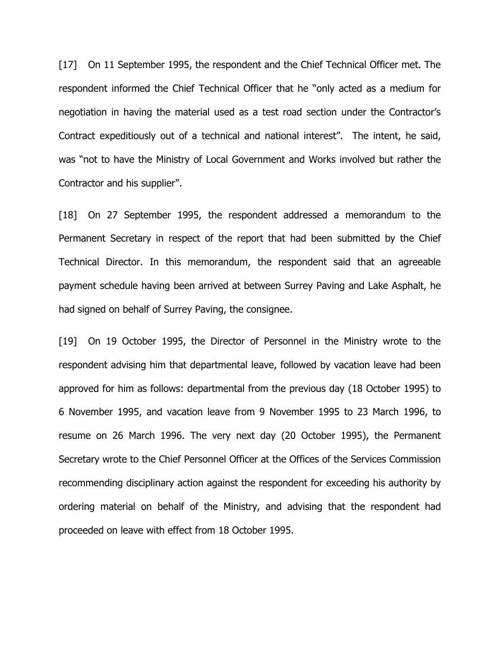[17] On 11 September 1995, the respondent and the Chief Technical Officer met. The respondent informed the Chief Technical Officer that he "only acted as a medium for negotiation in having the material used as a test road section under the Contractor's Contract expeditiously out of a technical and national interest". The intent, he said, was "not to have the Ministry of Local Government and Works involved but rather the Contractor and his supplier".

[18] On 27 September 1995, the respondent addressed a memorandum to the Permanent Secretary in respect of the report that had been submitted by the Chief Technical Director. In this memorandum, the respondent said that an agreeable payment schedule having been arrived at between Surrey Paving and Lake Asphalt, he had signed on behalf of Surrey Paving, the consignee.

[19] On 19 October 1995, the Director of Personnel in the Ministry wrote to the respondent advising him that departmental leave, followed by vacation leave had been approved for him as follows: departmental from the previous day (18 October 1995) to 6 November 1995, and vacation leave from 9 November 1995 to 23 March 1996, to resume on 26 March 1996. The very next day (20 October 1995), the Permanent Secretary wrote to the Chief Personnel Officer at the Offices of the Services Commission recommending disciplinary action against the respondent for exceeding his authority by ordering material on behalf of the Ministry, and advising that the respondent had proceeded on leave with effect from 18 October 1995.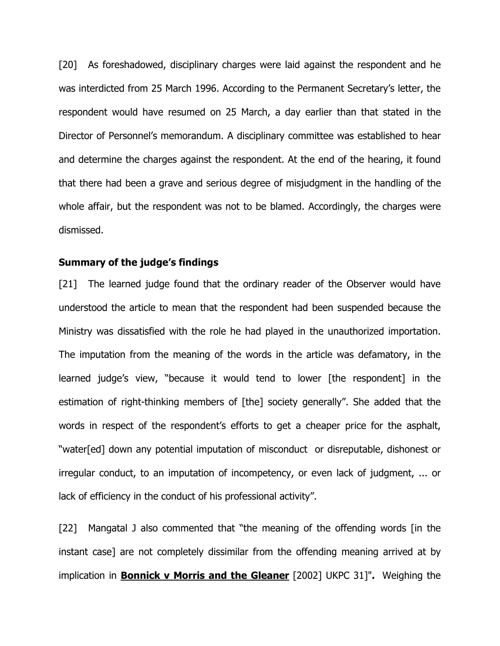[20] As foreshadowed, disciplinary charges were laid against the respondent and he was interdicted from 25 March 1996. According to the Permanent Secretary's letter, the respondent would have resumed on 25 March, a day earlier than that stated in the Director of Personnel's memorandum. A disciplinary committee was established to hear and determine the charges against the respondent. At the end of the hearing, it found that there had been a grave and serious degree of misjudgment in the handling of the whole affair, but the respondent was not to be blamed. Accordingly, the charges were dismissed.

### Summary of the judge's findings

[21] The learned judge found that the ordinary reader of the Observer would have understood the article to mean that the respondent had been suspended because the Ministry was dissatisfied with the role he had played in the unauthorized importation. The imputation from the meaning of the words in the article was defamatory, in the learned judge's view, "because it would tend to lower [the respondent] in the estimation of right-thinking members of [the] society generally". She added that the words in respect of the respondent's efforts to get a cheaper price for the asphalt, "water[ed] down any potential imputation of misconduct or disreputable, dishonest or irregular conduct, to an imputation of incompetency, or even lack of judgment, ... or lack of efficiency in the conduct of his professional activity".

[22] Mangatal J also commented that "the meaning of the offending words [in the instant case] are not completely dissimilar from the offending meaning arrived at by implication in **Bonnick v Morris and the Gleaner** [2002] UKPC 31]". Weighing the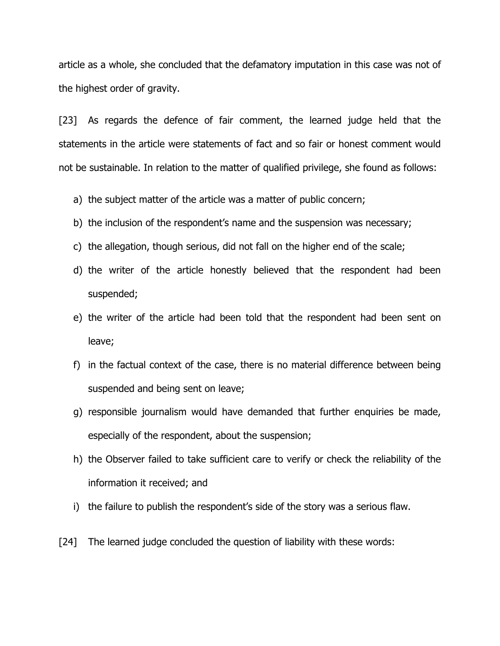article as a whole, she concluded that the defamatory imputation in this case was not of the highest order of gravity.

[23] As regards the defence of fair comment, the learned judge held that the statements in the article were statements of fact and so fair or honest comment would not be sustainable. In relation to the matter of qualified privilege, she found as follows:

- a) the subject matter of the article was a matter of public concern;
- b) the inclusion of the respondent's name and the suspension was necessary;
- c) the allegation, though serious, did not fall on the higher end of the scale;
- d) the writer of the article honestly believed that the respondent had been suspended;
- e) the writer of the article had been told that the respondent had been sent on leave;
- f) in the factual context of the case, there is no material difference between being suspended and being sent on leave;
- g) responsible journalism would have demanded that further enquiries be made, especially of the respondent, about the suspension;
- h) the Observer failed to take sufficient care to verify or check the reliability of the information it received; and
- i) the failure to publish the respondent's side of the story was a serious flaw.
- [24] The learned judge concluded the question of liability with these words: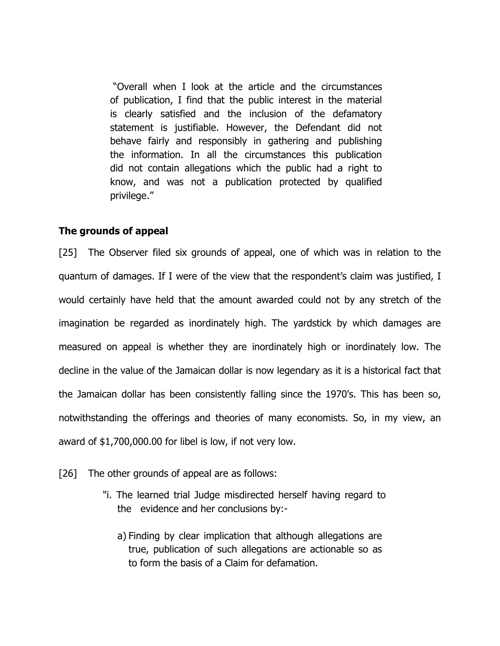"Overall when I look at the article and the circumstances of publication, I find that the public interest in the material is clearly satisfied and the inclusion of the defamatory statement is justifiable. However, the Defendant did not behave fairly and responsibly in gathering and publishing the information. In all the circumstances this publication did not contain allegations which the public had a right to know, and was not a publication protected by qualified privilege."

### The grounds of appeal

[25] The Observer filed six grounds of appeal, one of which was in relation to the quantum of damages. If I were of the view that the respondent's claim was justified, I would certainly have held that the amount awarded could not by any stretch of the imagination be regarded as inordinately high. The yardstick by which damages are measured on appeal is whether they are inordinately high or inordinately low. The decline in the value of the Jamaican dollar is now legendary as it is a historical fact that the Jamaican dollar has been consistently falling since the 1970's. This has been so, notwithstanding the offerings and theories of many economists. So, in my view, an award of \$1,700,000.00 for libel is low, if not very low.

[26] The other grounds of appeal are as follows:

- "i. The learned trial Judge misdirected herself having regard to the evidence and her conclusions by:
	- a) Finding by clear implication that although allegations are true, publication of such allegations are actionable so as to form the basis of a Claim for defamation.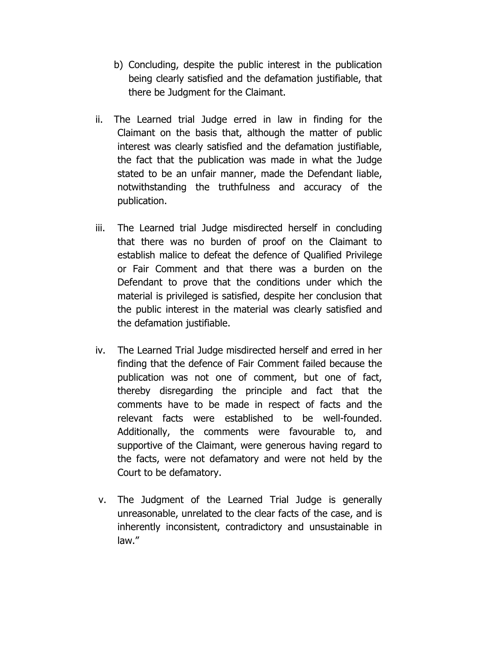- b) Concluding, despite the public interest in the publication being clearly satisfied and the defamation justifiable, that there be Judgment for the Claimant.
- ii. The Learned trial Judge erred in law in finding for the Claimant on the basis that, although the matter of public interest was clearly satisfied and the defamation justifiable, the fact that the publication was made in what the Judge stated to be an unfair manner, made the Defendant liable, notwithstanding the truthfulness and accuracy of the publication.
- iii. The Learned trial Judge misdirected herself in concluding that there was no burden of proof on the Claimant to establish malice to defeat the defence of Qualified Privilege or Fair Comment and that there was a burden on the Defendant to prove that the conditions under which the material is privileged is satisfied, despite her conclusion that the public interest in the material was clearly satisfied and the defamation justifiable.
- iv. The Learned Trial Judge misdirected herself and erred in her finding that the defence of Fair Comment failed because the publication was not one of comment, but one of fact, thereby disregarding the principle and fact that the comments have to be made in respect of facts and the relevant facts were established to be well-founded. Additionally, the comments were favourable to, and supportive of the Claimant, were generous having regard to the facts, were not defamatory and were not held by the Court to be defamatory.
- v. The Judgment of the Learned Trial Judge is generally unreasonable, unrelated to the clear facts of the case, and is inherently inconsistent, contradictory and unsustainable in law."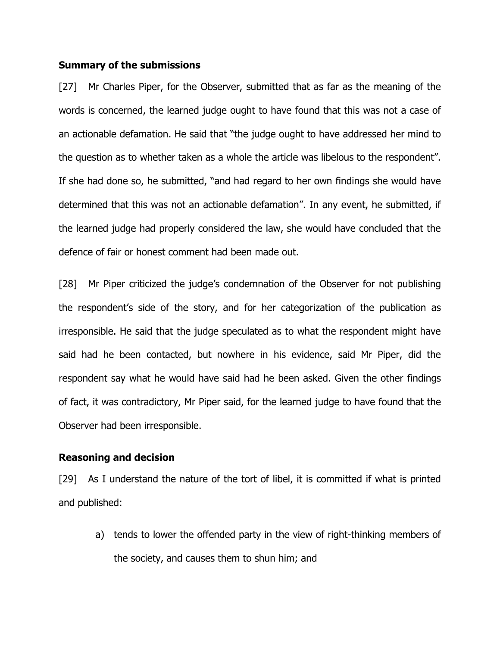### Summary of the submissions

[27] Mr Charles Piper, for the Observer, submitted that as far as the meaning of the words is concerned, the learned judge ought to have found that this was not a case of an actionable defamation. He said that "the judge ought to have addressed her mind to the question as to whether taken as a whole the article was libelous to the respondent". If she had done so, he submitted, "and had regard to her own findings she would have determined that this was not an actionable defamation". In any event, he submitted, if the learned judge had properly considered the law, she would have concluded that the defence of fair or honest comment had been made out.

[28] Mr Piper criticized the judge's condemnation of the Observer for not publishing the respondent's side of the story, and for her categorization of the publication as irresponsible. He said that the judge speculated as to what the respondent might have said had he been contacted, but nowhere in his evidence, said Mr Piper, did the respondent say what he would have said had he been asked. Given the other findings of fact, it was contradictory, Mr Piper said, for the learned judge to have found that the Observer had been irresponsible.

### Reasoning and decision

[29] As I understand the nature of the tort of libel, it is committed if what is printed and published:

a) tends to lower the offended party in the view of right-thinking members of the society, and causes them to shun him; and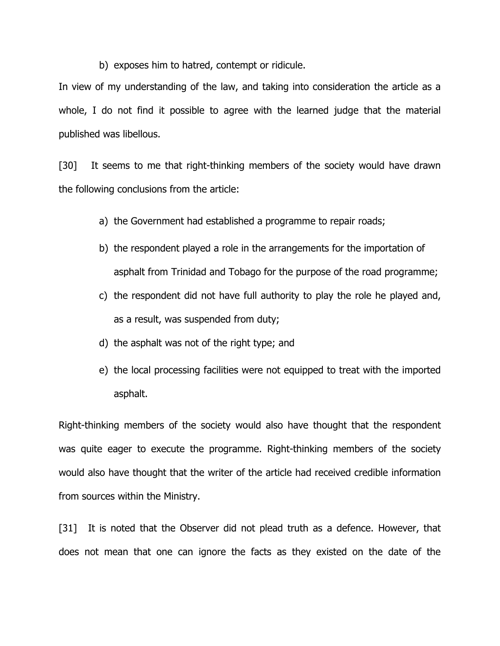b) exposes him to hatred, contempt or ridicule.

In view of my understanding of the law, and taking into consideration the article as a whole, I do not find it possible to agree with the learned judge that the material published was libellous.

[30] It seems to me that right-thinking members of the society would have drawn the following conclusions from the article:

- a) the Government had established a programme to repair roads;
- b) the respondent played a role in the arrangements for the importation of asphalt from Trinidad and Tobago for the purpose of the road programme;
- c) the respondent did not have full authority to play the role he played and, as a result, was suspended from duty;
- d) the asphalt was not of the right type; and
- e) the local processing facilities were not equipped to treat with the imported asphalt.

Right-thinking members of the society would also have thought that the respondent was quite eager to execute the programme. Right-thinking members of the society would also have thought that the writer of the article had received credible information from sources within the Ministry.

[31] It is noted that the Observer did not plead truth as a defence. However, that does not mean that one can ignore the facts as they existed on the date of the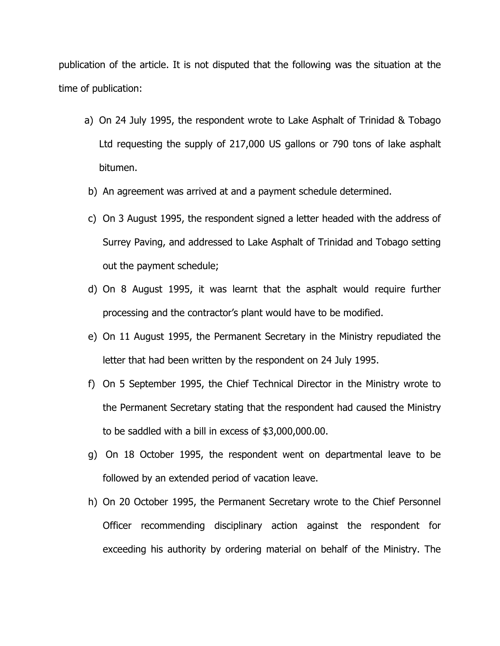publication of the article. It is not disputed that the following was the situation at the time of publication:

- a) On 24 July 1995, the respondent wrote to Lake Asphalt of Trinidad & Tobago Ltd requesting the supply of 217,000 US gallons or 790 tons of lake asphalt bitumen.
- b) An agreement was arrived at and a payment schedule determined.
- c) On 3 August 1995, the respondent signed a letter headed with the address of Surrey Paving, and addressed to Lake Asphalt of Trinidad and Tobago setting out the payment schedule;
- d) On 8 August 1995, it was learnt that the asphalt would require further processing and the contractor's plant would have to be modified.
- e) On 11 August 1995, the Permanent Secretary in the Ministry repudiated the letter that had been written by the respondent on 24 July 1995.
- f) On 5 September 1995, the Chief Technical Director in the Ministry wrote to the Permanent Secretary stating that the respondent had caused the Ministry to be saddled with a bill in excess of \$3,000,000.00.
- g) On 18 October 1995, the respondent went on departmental leave to be followed by an extended period of vacation leave.
- h) On 20 October 1995, the Permanent Secretary wrote to the Chief Personnel Officer recommending disciplinary action against the respondent for exceeding his authority by ordering material on behalf of the Ministry. The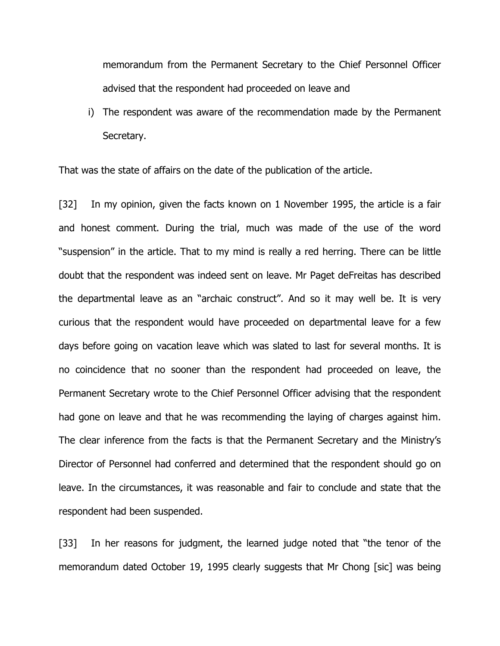memorandum from the Permanent Secretary to the Chief Personnel Officer advised that the respondent had proceeded on leave and

i) The respondent was aware of the recommendation made by the Permanent Secretary.

That was the state of affairs on the date of the publication of the article.

[32] In my opinion, given the facts known on 1 November 1995, the article is a fair and honest comment. During the trial, much was made of the use of the word "suspension" in the article. That to my mind is really a red herring. There can be little doubt that the respondent was indeed sent on leave. Mr Paget deFreitas has described the departmental leave as an "archaic construct". And so it may well be. It is very curious that the respondent would have proceeded on departmental leave for a few days before going on vacation leave which was slated to last for several months. It is no coincidence that no sooner than the respondent had proceeded on leave, the Permanent Secretary wrote to the Chief Personnel Officer advising that the respondent had gone on leave and that he was recommending the laying of charges against him. The clear inference from the facts is that the Permanent Secretary and the Ministry's Director of Personnel had conferred and determined that the respondent should go on leave. In the circumstances, it was reasonable and fair to conclude and state that the respondent had been suspended.

[33] In her reasons for judgment, the learned judge noted that "the tenor of the memorandum dated October 19, 1995 clearly suggests that Mr Chong [sic] was being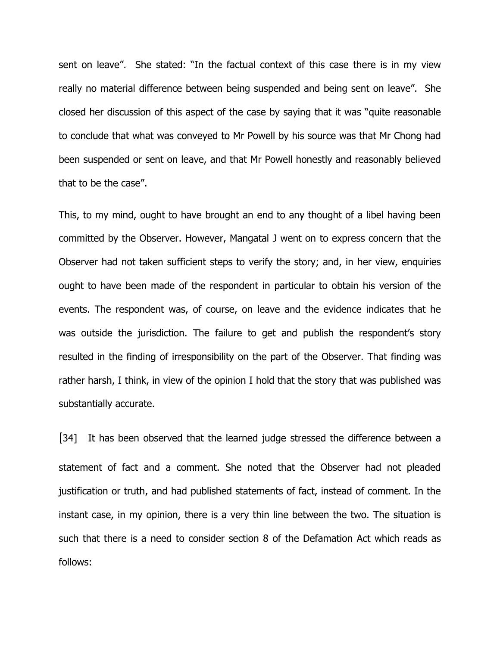sent on leave". She stated: "In the factual context of this case there is in my view really no material difference between being suspended and being sent on leave". She closed her discussion of this aspect of the case by saying that it was "quite reasonable to conclude that what was conveyed to Mr Powell by his source was that Mr Chong had been suspended or sent on leave, and that Mr Powell honestly and reasonably believed that to be the case".

This, to my mind, ought to have brought an end to any thought of a libel having been committed by the Observer. However, Mangatal J went on to express concern that the Observer had not taken sufficient steps to verify the story; and, in her view, enquiries ought to have been made of the respondent in particular to obtain his version of the events. The respondent was, of course, on leave and the evidence indicates that he was outside the jurisdiction. The failure to get and publish the respondent's story resulted in the finding of irresponsibility on the part of the Observer. That finding was rather harsh, I think, in view of the opinion I hold that the story that was published was substantially accurate.

[34] It has been observed that the learned judge stressed the difference between a statement of fact and a comment. She noted that the Observer had not pleaded justification or truth, and had published statements of fact, instead of comment. In the instant case, in my opinion, there is a very thin line between the two. The situation is such that there is a need to consider section 8 of the Defamation Act which reads as follows: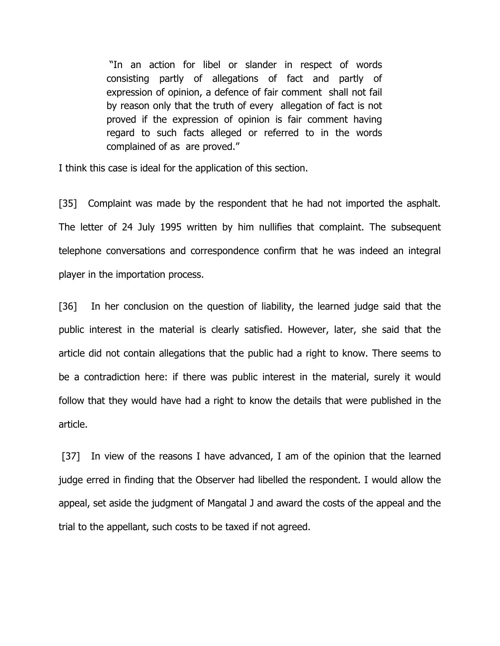"In an action for libel or slander in respect of words consisting partly of allegations of fact and partly of expression of opinion, a defence of fair comment shall not fail by reason only that the truth of every allegation of fact is not proved if the expression of opinion is fair comment having regard to such facts alleged or referred to in the words complained of as are proved."

I think this case is ideal for the application of this section.

[35] Complaint was made by the respondent that he had not imported the asphalt. The letter of 24 July 1995 written by him nullifies that complaint. The subsequent telephone conversations and correspondence confirm that he was indeed an integral player in the importation process.

[36] In her conclusion on the question of liability, the learned judge said that the public interest in the material is clearly satisfied. However, later, she said that the article did not contain allegations that the public had a right to know. There seems to be a contradiction here: if there was public interest in the material, surely it would follow that they would have had a right to know the details that were published in the article.

[37] In view of the reasons I have advanced, I am of the opinion that the learned judge erred in finding that the Observer had libelled the respondent. I would allow the appeal, set aside the judgment of Mangatal J and award the costs of the appeal and the trial to the appellant, such costs to be taxed if not agreed.